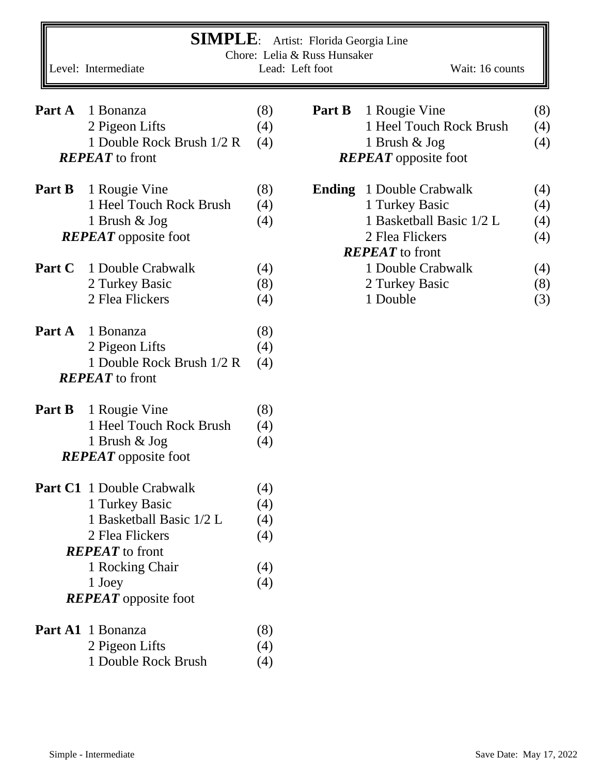| <b>SIMPLE:</b><br>Artist: Florida Georgia Line<br>Chore: Lelia & Russ Hunsaker |                                  |     |                 |                             |     |  |  |  |  |
|--------------------------------------------------------------------------------|----------------------------------|-----|-----------------|-----------------------------|-----|--|--|--|--|
|                                                                                | Level: Intermediate              |     | Lead: Left foot | Wait: 16 counts             |     |  |  |  |  |
| Part A                                                                         | 1 Bonanza                        | (8) | Part B          | 1 Rougie Vine               | (8) |  |  |  |  |
|                                                                                | 2 Pigeon Lifts                   | (4) |                 | 1 Heel Touch Rock Brush     | (4) |  |  |  |  |
|                                                                                | 1 Double Rock Brush 1/2 R        | (4) |                 | 1 Brush & Jog               | (4) |  |  |  |  |
|                                                                                | <b>REPEAT</b> to front           |     |                 | <b>REPEAT</b> opposite foot |     |  |  |  |  |
| Part B                                                                         | 1 Rougie Vine                    | (8) | <b>Ending</b>   | 1 Double Crabwalk           | (4) |  |  |  |  |
|                                                                                | 1 Heel Touch Rock Brush          | (4) |                 | 1 Turkey Basic              | (4) |  |  |  |  |
|                                                                                | 1 Brush & Jog                    | (4) |                 | 1 Basketball Basic 1/2 L    | (4) |  |  |  |  |
|                                                                                | <b>REPEAT</b> opposite foot      |     |                 | 2 Flea Flickers             | (4) |  |  |  |  |
|                                                                                |                                  |     |                 | <b>REPEAT</b> to front      |     |  |  |  |  |
| Part C                                                                         | 1 Double Crabwalk                | (4) |                 | 1 Double Crabwalk           | (4) |  |  |  |  |
|                                                                                | 2 Turkey Basic                   | (8) |                 | 2 Turkey Basic              | (8) |  |  |  |  |
|                                                                                | 2 Flea Flickers                  | (4) |                 | 1 Double                    | (3) |  |  |  |  |
| Part A                                                                         | 1 Bonanza                        | (8) |                 |                             |     |  |  |  |  |
|                                                                                | 2 Pigeon Lifts                   | (4) |                 |                             |     |  |  |  |  |
|                                                                                | 1 Double Rock Brush 1/2 R        | (4) |                 |                             |     |  |  |  |  |
|                                                                                | <b>REPEAT</b> to front           |     |                 |                             |     |  |  |  |  |
| Part B                                                                         | 1 Rougie Vine                    | (8) |                 |                             |     |  |  |  |  |
|                                                                                | 1 Heel Touch Rock Brush          | (4) |                 |                             |     |  |  |  |  |
|                                                                                | 1 Brush & Jog                    | (4) |                 |                             |     |  |  |  |  |
|                                                                                | <b>REPEAT</b> opposite foot      |     |                 |                             |     |  |  |  |  |
|                                                                                | <b>Part C1</b> 1 Double Crabwalk | (4) |                 |                             |     |  |  |  |  |
|                                                                                | 1 Turkey Basic                   | (4) |                 |                             |     |  |  |  |  |
|                                                                                | 1 Basketball Basic 1/2 L         | (4) |                 |                             |     |  |  |  |  |
|                                                                                | 2 Flea Flickers                  | (4) |                 |                             |     |  |  |  |  |
|                                                                                | <b>REPEAT</b> to front           |     |                 |                             |     |  |  |  |  |
|                                                                                | 1 Rocking Chair                  | (4) |                 |                             |     |  |  |  |  |
|                                                                                | 1 Joey                           | (4) |                 |                             |     |  |  |  |  |
|                                                                                | <b>REPEAT</b> opposite foot      |     |                 |                             |     |  |  |  |  |
|                                                                                | Part A1 1 Bonanza                | (8) |                 |                             |     |  |  |  |  |
|                                                                                | 2 Pigeon Lifts                   | (4) |                 |                             |     |  |  |  |  |
|                                                                                | 1 Double Rock Brush              | (4) |                 |                             |     |  |  |  |  |